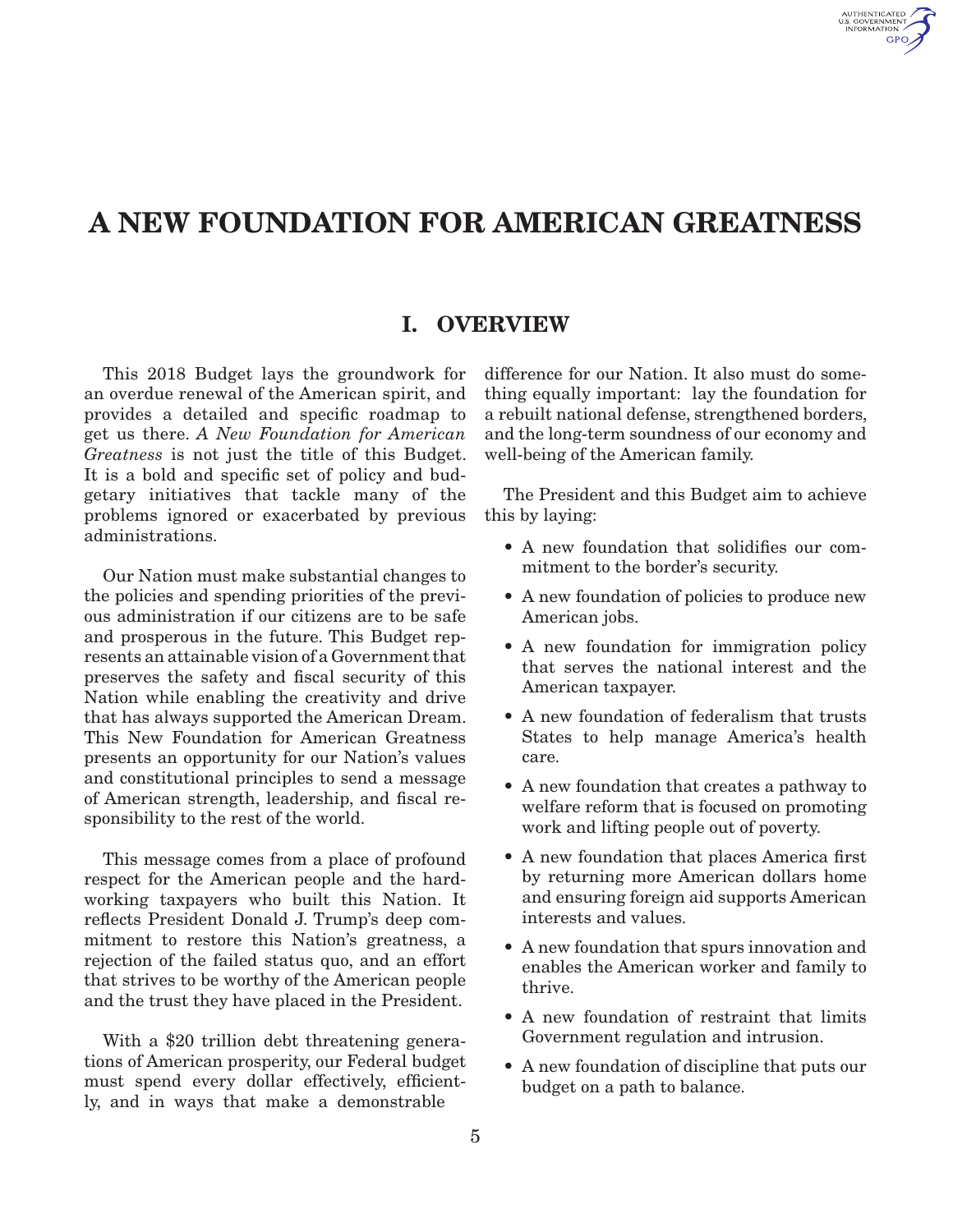# A NEW FOUNDATION FOR AMERICAN GREATNESS

## I. OVERVIEW

This 2018 Budget lays the groundwork for an overdue renewal of the American spirit, and provides a detailed and specific roadmap to get us there. *A New Foundation for American Greatness* is not just the title of this Budget. It is a bold and specific set of policy and budgetary initiatives that tackle many of the problems ignored or exacerbated by previous administrations.

Our Nation must make substantial changes to the policies and spending priorities of the previous administration if our citizens are to be safe and prosperous in the future. This Budget represents an attainable vision of a Government that preserves the safety and fiscal security of this Nation while enabling the creativity and drive that has always supported the American Dream. This New Foundation for American Greatness presents an opportunity for our Nation's values and constitutional principles to send a message of American strength, leadership, and fiscal responsibility to the rest of the world.

This message comes from a place of profound respect for the American people and the hardworking taxpayers who built this Nation. It reflects President Donald J. Trump's deep commitment to restore this Nation's greatness, a rejection of the failed status quo, and an effort that strives to be worthy of the American people and the trust they have placed in the President.

With a \$20 trillion debt threatening generations of American prosperity, our Federal budget must spend every dollar effectively, efficiently, and in ways that make a demonstrable

difference for our Nation. It also must do something equally important: lay the foundation for a rebuilt national defense, strengthened borders, and the long-term soundness of our economy and well-being of the American family.

The President and this Budget aim to achieve this by laying:

- A new foundation that solidifies our commitment to the border's security.
- A new foundation of policies to produce new American jobs.
- A new foundation for immigration policy that serves the national interest and the American taxpayer.
- A new foundation of federalism that trusts States to help manage America's health care.
- A new foundation that creates a pathway to welfare reform that is focused on promoting work and lifting people out of poverty.
- A new foundation that places America first by returning more American dollars home and ensuring foreign aid supports American interests and values.
- A new foundation that spurs innovation and enables the American worker and family to thrive.
- A new foundation of restraint that limits Government regulation and intrusion.
- A new foundation of discipline that puts our budget on a path to balance.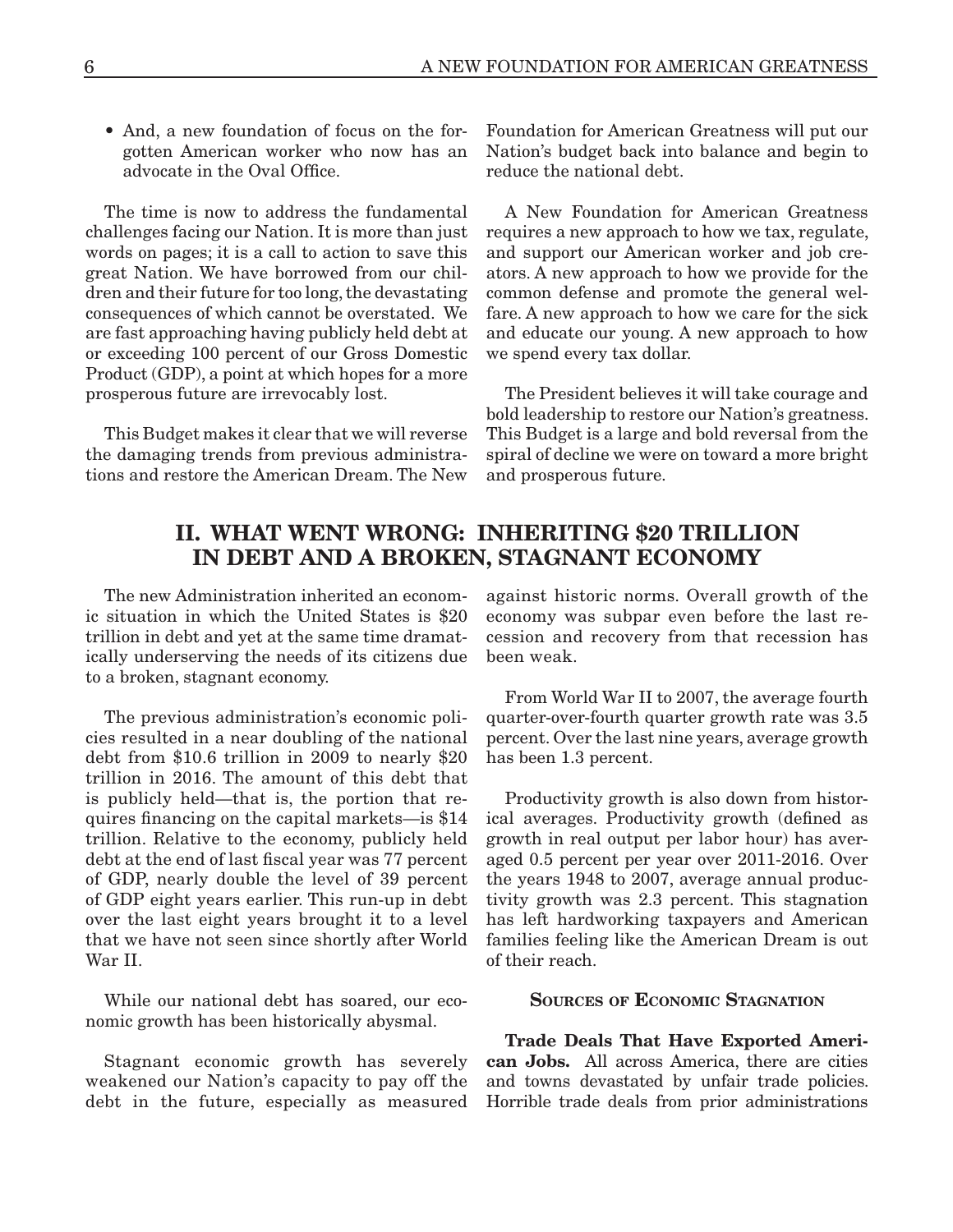• And, a new foundation of focus on the forgotten American worker who now has an advocate in the Oval Office.

The time is now to address the fundamental challenges facing our Nation. It is more than just words on pages; it is a call to action to save this great Nation. We have borrowed from our children and their future for too long, the devastating consequences of which cannot be overstated. We are fast approaching having publicly held debt at or exceeding 100 percent of our Gross Domestic Product (GDP), a point at which hopes for a more prosperous future are irrevocably lost.

This Budget makes it clear that we will reverse the damaging trends from previous administrations and restore the American Dream. The New

Foundation for American Greatness will put our Nation's budget back into balance and begin to reduce the national debt.

A New Foundation for American Greatness requires a new approach to how we tax, regulate, and support our American worker and job creators. A new approach to how we provide for the common defense and promote the general welfare. A new approach to how we care for the sick and educate our young. A new approach to how we spend every tax dollar.

The President believes it will take courage and bold leadership to restore our Nation's greatness. This Budget is a large and bold reversal from the spiral of decline we were on toward a more bright and prosperous future.

# II. WHAT WENT WRONG: INHERITING \$20 TRILLION IN DEBT AND A BROKEN, STAGNANT ECONOMY

The new Administration inherited an economic situation in which the United States is \$20 trillion in debt and yet at the same time dramatically underserving the needs of its citizens due to a broken, stagnant economy.

The previous administration's economic policies resulted in a near doubling of the national debt from \$10.6 trillion in 2009 to nearly \$20 trillion in 2016. The amount of this debt that is publicly held—that is, the portion that requires financing on the capital markets—is \$14 trillion. Relative to the economy, publicly held debt at the end of last fiscal year was 77 percent of GDP, nearly double the level of 39 percent of GDP eight years earlier. This run-up in debt over the last eight years brought it to a level that we have not seen since shortly after World War II.

While our national debt has soared, our economic growth has been historically abysmal.

Stagnant economic growth has severely weakened our Nation's capacity to pay off the debt in the future, especially as measured against historic norms. Overall growth of the economy was subpar even before the last recession and recovery from that recession has been weak.

From World War II to 2007, the average fourth quarter-over-fourth quarter growth rate was 3.5 percent. Over the last nine years, average growth has been 1.3 percent.

Productivity growth is also down from historical averages. Productivity growth (defined as growth in real output per labor hour) has averaged 0.5 percent per year over 2011-2016. Over the years 1948 to 2007, average annual productivity growth was 2.3 percent. This stagnation has left hardworking taxpayers and American families feeling like the American Dream is out of their reach.

#### Sources of Economic Stagnation

Trade Deals That Have Exported American Jobs. All across America, there are cities and towns devastated by unfair trade policies. Horrible trade deals from prior administrations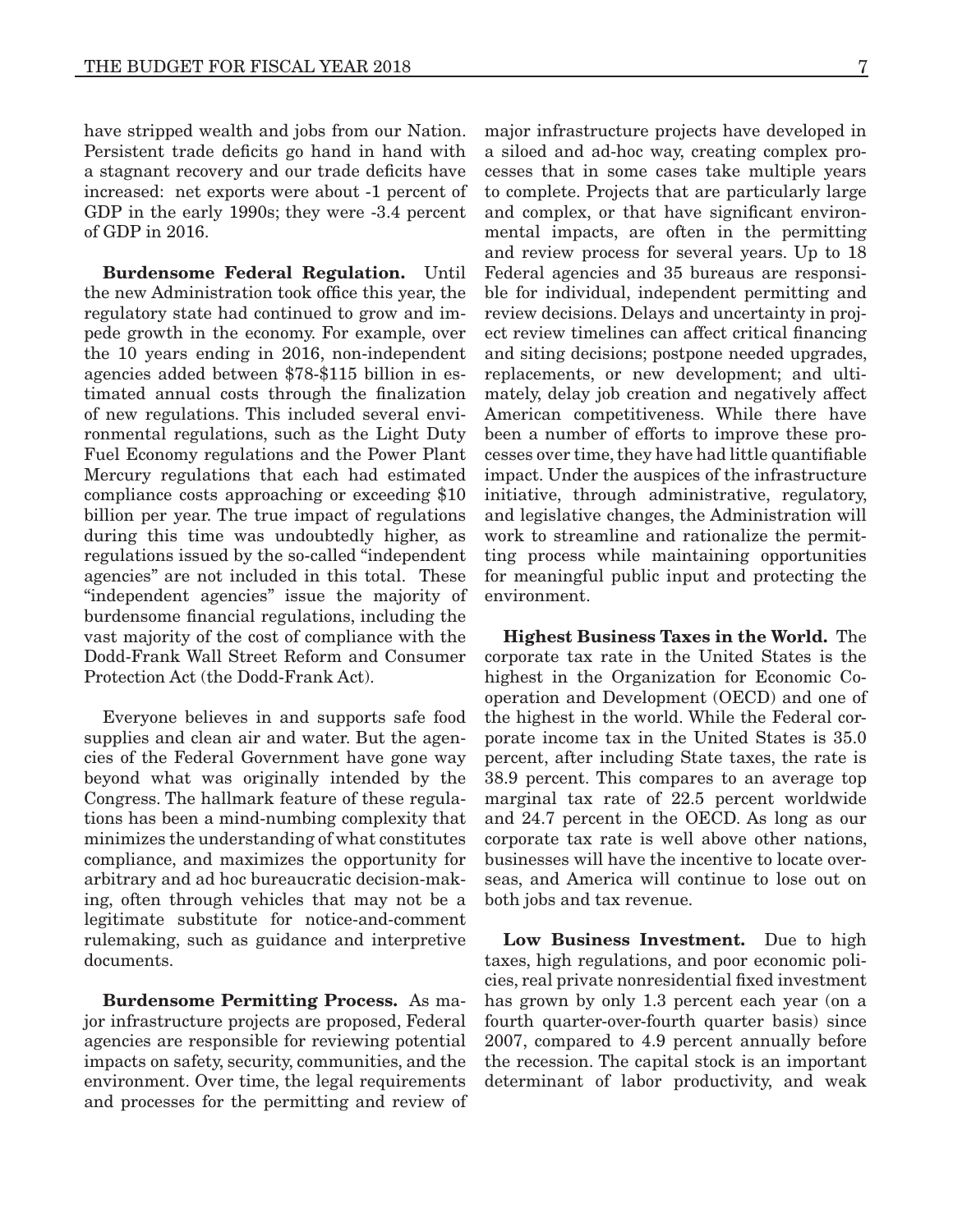have stripped wealth and jobs from our Nation. Persistent trade deficits go hand in hand with a stagnant recovery and our trade deficits have increased: net exports were about -1 percent of GDP in the early 1990s; they were -3.4 percent of GDP in 2016.

Burdensome Federal Regulation. Until the new Administration took office this year, the regulatory state had continued to grow and impede growth in the economy. For example, over the 10 years ending in 2016, non-independent agencies added between \$78-\$115 billion in estimated annual costs through the finalization of new regulations. This included several environmental regulations, such as the Light Duty Fuel Economy regulations and the Power Plant Mercury regulations that each had estimated compliance costs approaching or exceeding \$10 billion per year. The true impact of regulations during this time was undoubtedly higher, as regulations issued by the so-called "independent agencies" are not included in this total. These "independent agencies" issue the majority of burdensome financial regulations, including the vast majority of the cost of compliance with the Dodd-Frank Wall Street Reform and Consumer Protection Act (the Dodd-Frank Act).

Everyone believes in and supports safe food supplies and clean air and water. But the agencies of the Federal Government have gone way beyond what was originally intended by the Congress. The hallmark feature of these regulations has been a mind-numbing complexity that minimizes the understanding of what constitutes compliance, and maximizes the opportunity for arbitrary and ad hoc bureaucratic decision-making, often through vehicles that may not be a legitimate substitute for notice-and-comment rulemaking, such as guidance and interpretive documents.

Burdensome Permitting Process. As major infrastructure projects are proposed, Federal agencies are responsible for reviewing potential impacts on safety, security, communities, and the environment. Over time, the legal requirements and processes for the permitting and review of major infrastructure projects have developed in a siloed and ad-hoc way, creating complex processes that in some cases take multiple years to complete. Projects that are particularly large and complex, or that have significant environmental impacts, are often in the permitting and review process for several years. Up to 18 Federal agencies and 35 bureaus are responsible for individual, independent permitting and review decisions. Delays and uncertainty in project review timelines can affect critical financing and siting decisions; postpone needed upgrades, replacements, or new development; and ultimately, delay job creation and negatively affect American competitiveness. While there have been a number of efforts to improve these processes over time, they have had little quantifiable impact. Under the auspices of the infrastructure initiative, through administrative, regulatory, and legislative changes, the Administration will work to streamline and rationalize the permitting process while maintaining opportunities for meaningful public input and protecting the environment.

Highest Business Taxes in the World. The corporate tax rate in the United States is the highest in the Organization for Economic Cooperation and Development (OECD) and one of the highest in the world. While the Federal corporate income tax in the United States is 35.0 percent, after including State taxes, the rate is 38.9 percent. This compares to an average top marginal tax rate of 22.5 percent worldwide and 24.7 percent in the OECD. As long as our corporate tax rate is well above other nations, businesses will have the incentive to locate overseas, and America will continue to lose out on both jobs and tax revenue.

Low Business Investment. Due to high taxes, high regulations, and poor economic policies, real private nonresidential fixed investment has grown by only 1.3 percent each year (on a fourth quarter-over-fourth quarter basis) since 2007, compared to 4.9 percent annually before the recession. The capital stock is an important determinant of labor productivity, and weak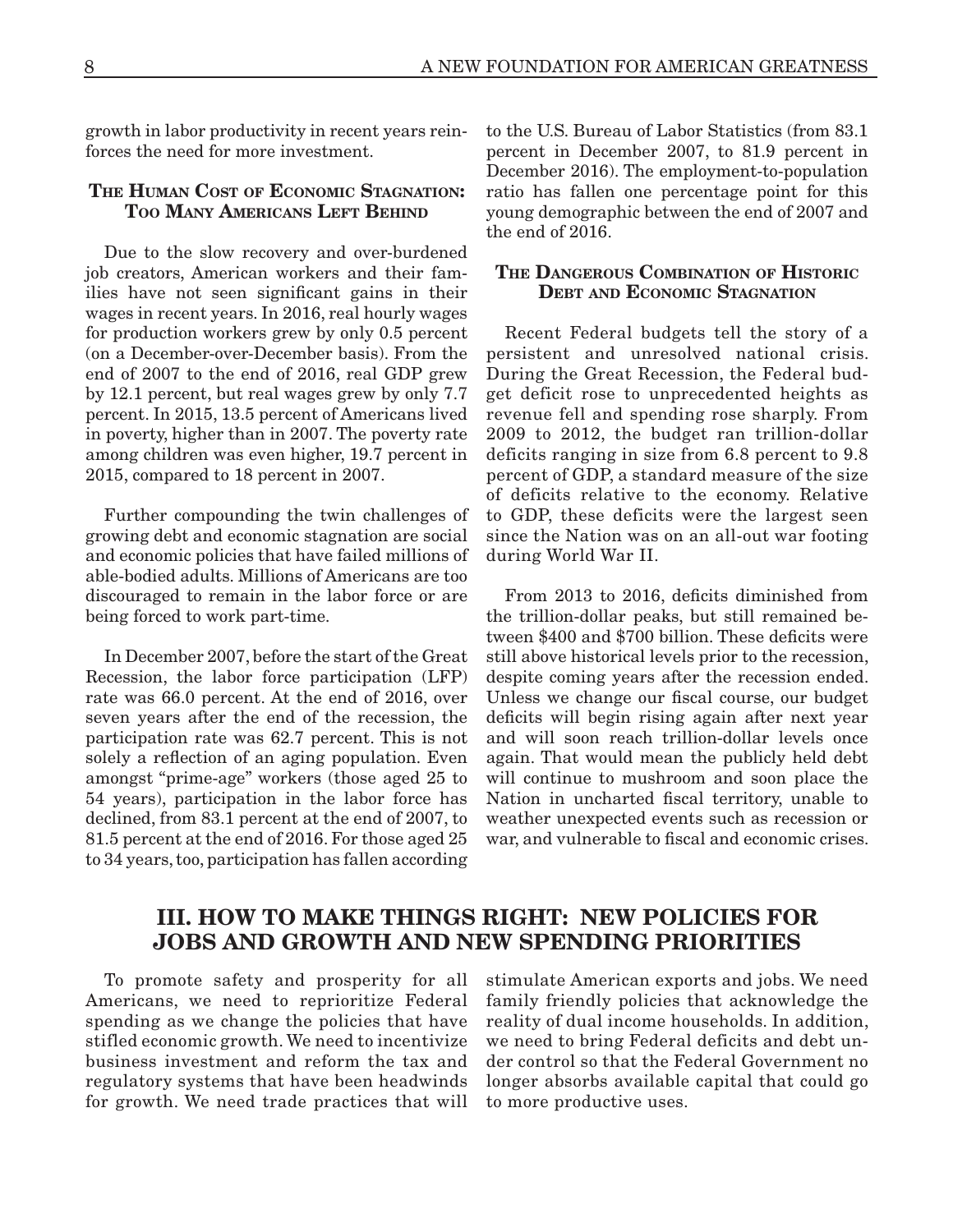growth in labor productivity in recent years reinforces the need for more investment.

#### THE HUMAN COST OF ECONOMIC STAGNATION: Too Many Americans Left Behind

Due to the slow recovery and over-burdened job creators, American workers and their families have not seen significant gains in their wages in recent years. In 2016, real hourly wages for production workers grew by only 0.5 percent (on a December-over-December basis). From the end of 2007 to the end of 2016, real GDP grew by 12.1 percent, but real wages grew by only 7.7 percent. In 2015, 13.5 percent of Americans lived in poverty, higher than in 2007. The poverty rate among children was even higher, 19.7 percent in 2015, compared to 18 percent in 2007.

Further compounding the twin challenges of growing debt and economic stagnation are social and economic policies that have failed millions of able-bodied adults. Millions of Americans are too discouraged to remain in the labor force or are being forced to work part-time.

In December 2007, before the start of the Great Recession, the labor force participation (LFP) rate was 66.0 percent. At the end of 2016, over seven years after the end of the recession, the participation rate was 62.7 percent. This is not solely a reflection of an aging population. Even amongst "prime-age" workers (those aged 25 to 54 years), participation in the labor force has declined, from 83.1 percent at the end of 2007, to 81.5 percent at the end of 2016. For those aged 25 to 34 years, too, participation has fallen according

to the U.S. Bureau of Labor Statistics (from 83.1 percent in December 2007, to 81.9 percent in December 2016). The employment-to-population ratio has fallen one percentage point for this young demographic between the end of 2007 and the end of 2016.

#### The Dangerous Combination of Historic DEBT AND ECONOMIC STAGNATION

Recent Federal budgets tell the story of a persistent and unresolved national crisis. During the Great Recession, the Federal budget deficit rose to unprecedented heights as revenue fell and spending rose sharply. From 2009 to 2012, the budget ran trillion-dollar deficits ranging in size from 6.8 percent to 9.8 percent of GDP, a standard measure of the size of deficits relative to the economy. Relative to GDP, these deficits were the largest seen since the Nation was on an all-out war footing during World War II.

From 2013 to 2016, deficits diminished from the trillion-dollar peaks, but still remained between \$400 and \$700 billion. These deficits were still above historical levels prior to the recession, despite coming years after the recession ended. Unless we change our fiscal course, our budget deficits will begin rising again after next year and will soon reach trillion-dollar levels once again. That would mean the publicly held debt will continue to mushroom and soon place the Nation in uncharted fiscal territory, unable to weather unexpected events such as recession or war, and vulnerable to fiscal and economic crises.

### III. HOW TO MAKE THINGS RIGHT: NEW POLICIES FOR JOBS AND GROWTH AND NEW SPENDING PRIORITIES

To promote safety and prosperity for all Americans, we need to reprioritize Federal spending as we change the policies that have stifled economic growth. We need to incentivize business investment and reform the tax and regulatory systems that have been headwinds for growth. We need trade practices that will stimulate American exports and jobs. We need family friendly policies that acknowledge the reality of dual income households. In addition, we need to bring Federal deficits and debt under control so that the Federal Government no longer absorbs available capital that could go to more productive uses.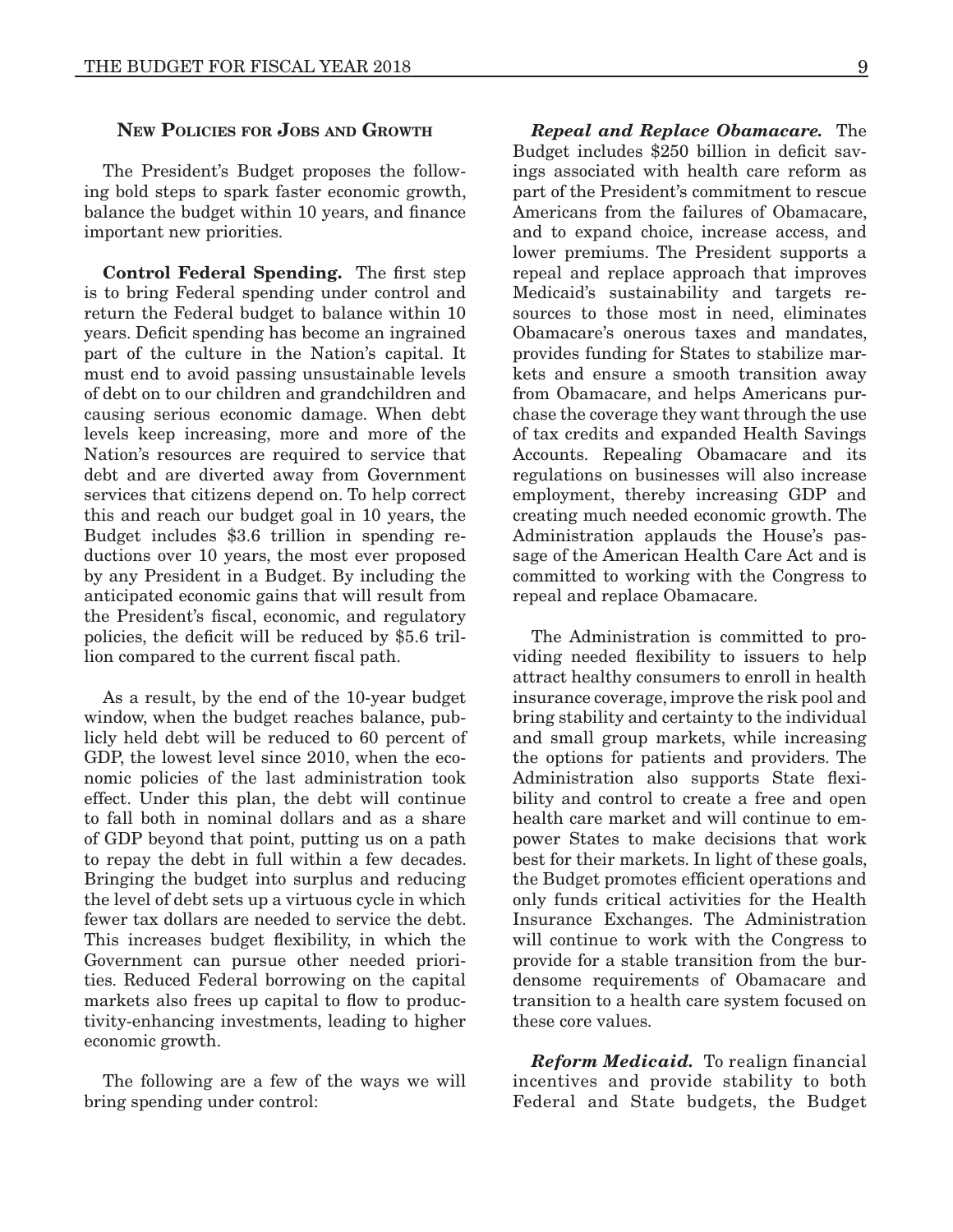#### New POLICIES FOR JOBS AND GROWTH

The President's Budget proposes the following bold steps to spark faster economic growth, balance the budget within 10 years, and finance important new priorities.

Control Federal Spending. The first step is to bring Federal spending under control and return the Federal budget to balance within 10 years. Deficit spending has become an ingrained part of the culture in the Nation's capital. It must end to avoid passing unsustainable levels of debt on to our children and grandchildren and causing serious economic damage. When debt levels keep increasing, more and more of the Nation's resources are required to service that debt and are diverted away from Government services that citizens depend on. To help correct this and reach our budget goal in 10 years, the Budget includes \$3.6 trillion in spending reductions over 10 years, the most ever proposed by any President in a Budget. By including the anticipated economic gains that will result from the President's fiscal, economic, and regulatory policies, the deficit will be reduced by \$5.6 trillion compared to the current fiscal path.

As a result, by the end of the 10-year budget window, when the budget reaches balance, publicly held debt will be reduced to 60 percent of GDP, the lowest level since 2010, when the economic policies of the last administration took effect. Under this plan, the debt will continue to fall both in nominal dollars and as a share of GDP beyond that point, putting us on a path to repay the debt in full within a few decades. Bringing the budget into surplus and reducing the level of debt sets up a virtuous cycle in which fewer tax dollars are needed to service the debt. This increases budget flexibility, in which the Government can pursue other needed priorities. Reduced Federal borrowing on the capital markets also frees up capital to flow to productivity-enhancing investments, leading to higher economic growth.

The following are a few of the ways we will bring spending under control:

*Repeal and Replace Obamacare.* The Budget includes \$250 billion in deficit savings associated with health care reform as part of the President's commitment to rescue Americans from the failures of Obamacare, and to expand choice, increase access, and lower premiums. The President supports a repeal and replace approach that improves Medicaid's sustainability and targets resources to those most in need, eliminates Obamacare's onerous taxes and mandates, provides funding for States to stabilize markets and ensure a smooth transition away from Obamacare, and helps Americans purchase the coverage they want through the use of tax credits and expanded Health Savings Accounts. Repealing Obamacare and its regulations on businesses will also increase employment, thereby increasing GDP and creating much needed economic growth. The Administration applauds the House's passage of the American Health Care Act and is committed to working with the Congress to repeal and replace Obamacare.

The Administration is committed to providing needed flexibility to issuers to help attract healthy consumers to enroll in health insurance coverage, improve the risk pool and bring stability and certainty to the individual and small group markets, while increasing the options for patients and providers. The Administration also supports State flexibility and control to create a free and open health care market and will continue to empower States to make decisions that work best for their markets. In light of these goals, the Budget promotes efficient operations and only funds critical activities for the Health Insurance Exchanges. The Administration will continue to work with the Congress to provide for a stable transition from the burdensome requirements of Obamacare and transition to a health care system focused on these core values.

*Reform Medicaid.* To realign financial incentives and provide stability to both Federal and State budgets, the Budget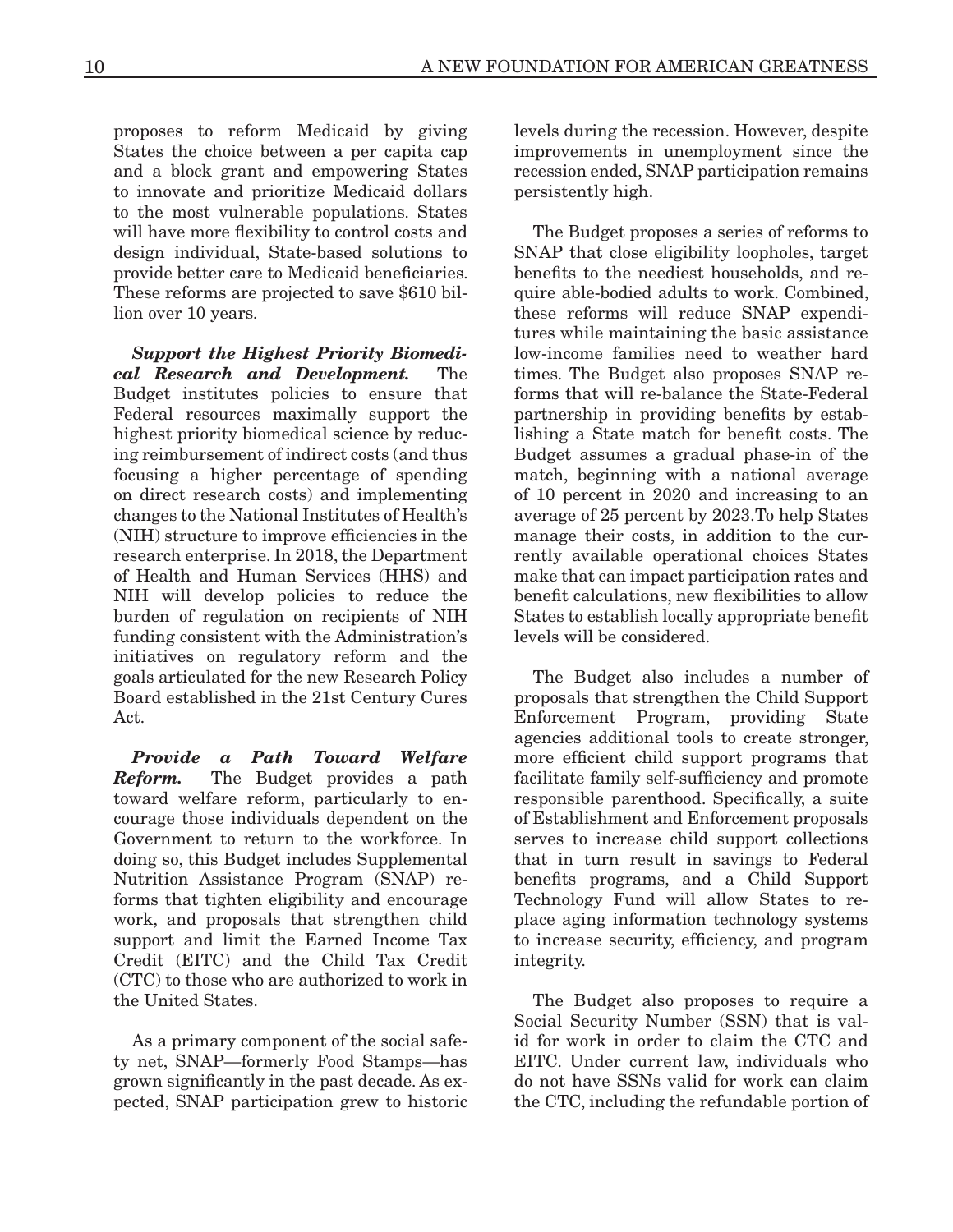proposes to reform Medicaid by giving States the choice between a per capita cap and a block grant and empowering States to innovate and prioritize Medicaid dollars to the most vulnerable populations. States will have more flexibility to control costs and design individual, State-based solutions to provide better care to Medicaid beneficiaries. These reforms are projected to save \$610 billion over 10 years.

*Support the Highest Priority Biomedical Research and Development.* The Budget institutes policies to ensure that Federal resources maximally support the highest priority biomedical science by reducing reimbursement of indirect costs (and thus focusing a higher percentage of spending on direct research costs) and implementing changes to the National Institutes of Health's (NIH) structure to improve efficiencies in the research enterprise. In 2018, the Department of Health and Human Services (HHS) and NIH will develop policies to reduce the burden of regulation on recipients of NIH funding consistent with the Administration's initiatives on regulatory reform and the goals articulated for the new Research Policy Board established in the 21st Century Cures Act.

*Provide a Path Toward Welfare Reform.* The Budget provides a path toward welfare reform, particularly to encourage those individuals dependent on the Government to return to the workforce. In doing so, this Budget includes Supplemental Nutrition Assistance Program (SNAP) reforms that tighten eligibility and encourage work, and proposals that strengthen child support and limit the Earned Income Tax Credit (EITC) and the Child Tax Credit (CTC) to those who are authorized to work in the United States.

As a primary component of the social safety net, SNAP—formerly Food Stamps—has grown significantly in the past decade. As expected, SNAP participation grew to historic levels during the recession. However, despite improvements in unemployment since the recession ended, SNAP participation remains persistently high.

The Budget proposes a series of reforms to SNAP that close eligibility loopholes, target benefits to the neediest households, and require able-bodied adults to work. Combined, these reforms will reduce SNAP expenditures while maintaining the basic assistance low-income families need to weather hard times. The Budget also proposes SNAP reforms that will re-balance the State-Federal partnership in providing benefits by establishing a State match for benefit costs. The Budget assumes a gradual phase-in of the match, beginning with a national average of 10 percent in 2020 and increasing to an average of 25 percent by 2023.To help States manage their costs, in addition to the currently available operational choices States make that can impact participation rates and benefit calculations, new flexibilities to allow States to establish locally appropriate benefit levels will be considered.

The Budget also includes a number of proposals that strengthen the Child Support Enforcement Program, providing State agencies additional tools to create stronger, more efficient child support programs that facilitate family self-sufficiency and promote responsible parenthood. Specifically, a suite of Establishment and Enforcement proposals serves to increase child support collections that in turn result in savings to Federal benefits programs, and a Child Support Technology Fund will allow States to replace aging information technology systems to increase security, efficiency, and program integrity.

The Budget also proposes to require a Social Security Number (SSN) that is valid for work in order to claim the CTC and EITC. Under current law, individuals who do not have SSNs valid for work can claim the CTC, including the refundable portion of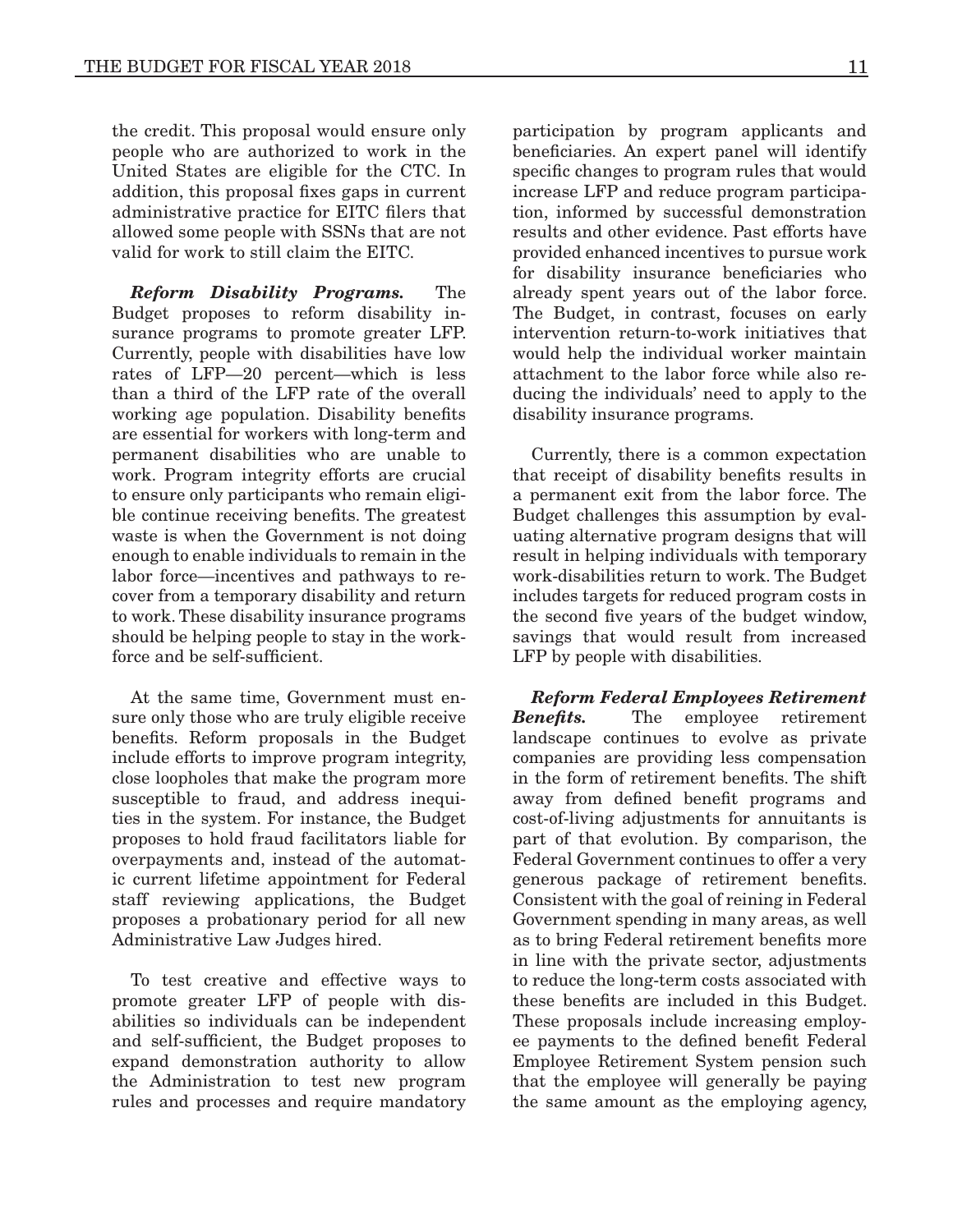the credit. This proposal would ensure only people who are authorized to work in the United States are eligible for the CTC. In addition, this proposal fixes gaps in current administrative practice for EITC filers that allowed some people with SSNs that are not valid for work to still claim the EITC.

*Reform Disability Programs.* The Budget proposes to reform disability insurance programs to promote greater LFP. Currently, people with disabilities have low rates of LFP—20 percent—which is less than a third of the LFP rate of the overall working age population. Disability benefits are essential for workers with long-term and permanent disabilities who are unable to work. Program integrity efforts are crucial to ensure only participants who remain eligible continue receiving benefits. The greatest waste is when the Government is not doing enough to enable individuals to remain in the labor force—incentives and pathways to recover from a temporary disability and return to work. These disability insurance programs should be helping people to stay in the workforce and be self-sufficient.

At the same time, Government must ensure only those who are truly eligible receive benefits. Reform proposals in the Budget include efforts to improve program integrity, close loopholes that make the program more susceptible to fraud, and address inequities in the system. For instance, the Budget proposes to hold fraud facilitators liable for overpayments and, instead of the automatic current lifetime appointment for Federal staff reviewing applications, the Budget proposes a probationary period for all new Administrative Law Judges hired.

To test creative and effective ways to promote greater LFP of people with disabilities so individuals can be independent and self-sufficient, the Budget proposes to expand demonstration authority to allow the Administration to test new program rules and processes and require mandatory participation by program applicants and beneficiaries. An expert panel will identify specific changes to program rules that would increase LFP and reduce program participation, informed by successful demonstration results and other evidence. Past efforts have provided enhanced incentives to pursue work for disability insurance beneficiaries who already spent years out of the labor force. The Budget, in contrast, focuses on early intervention return-to-work initiatives that would help the individual worker maintain attachment to the labor force while also reducing the individuals' need to apply to the disability insurance programs.

Currently, there is a common expectation that receipt of disability benefits results in a permanent exit from the labor force. The Budget challenges this assumption by evaluating alternative program designs that will result in helping individuals with temporary work-disabilities return to work. The Budget includes targets for reduced program costs in the second five years of the budget window, savings that would result from increased LFP by people with disabilities.

*Reform Federal Employees Retirement*  **Benefits.** The employee retirement landscape continues to evolve as private companies are providing less compensation in the form of retirement benefits. The shift away from defined benefit programs and cost-of-living adjustments for annuitants is part of that evolution. By comparison, the Federal Government continues to offer a very generous package of retirement benefits. Consistent with the goal of reining in Federal Government spending in many areas, as well as to bring Federal retirement benefits more in line with the private sector, adjustments to reduce the long-term costs associated with these benefits are included in this Budget. These proposals include increasing employee payments to the defined benefit Federal Employee Retirement System pension such that the employee will generally be paying the same amount as the employing agency,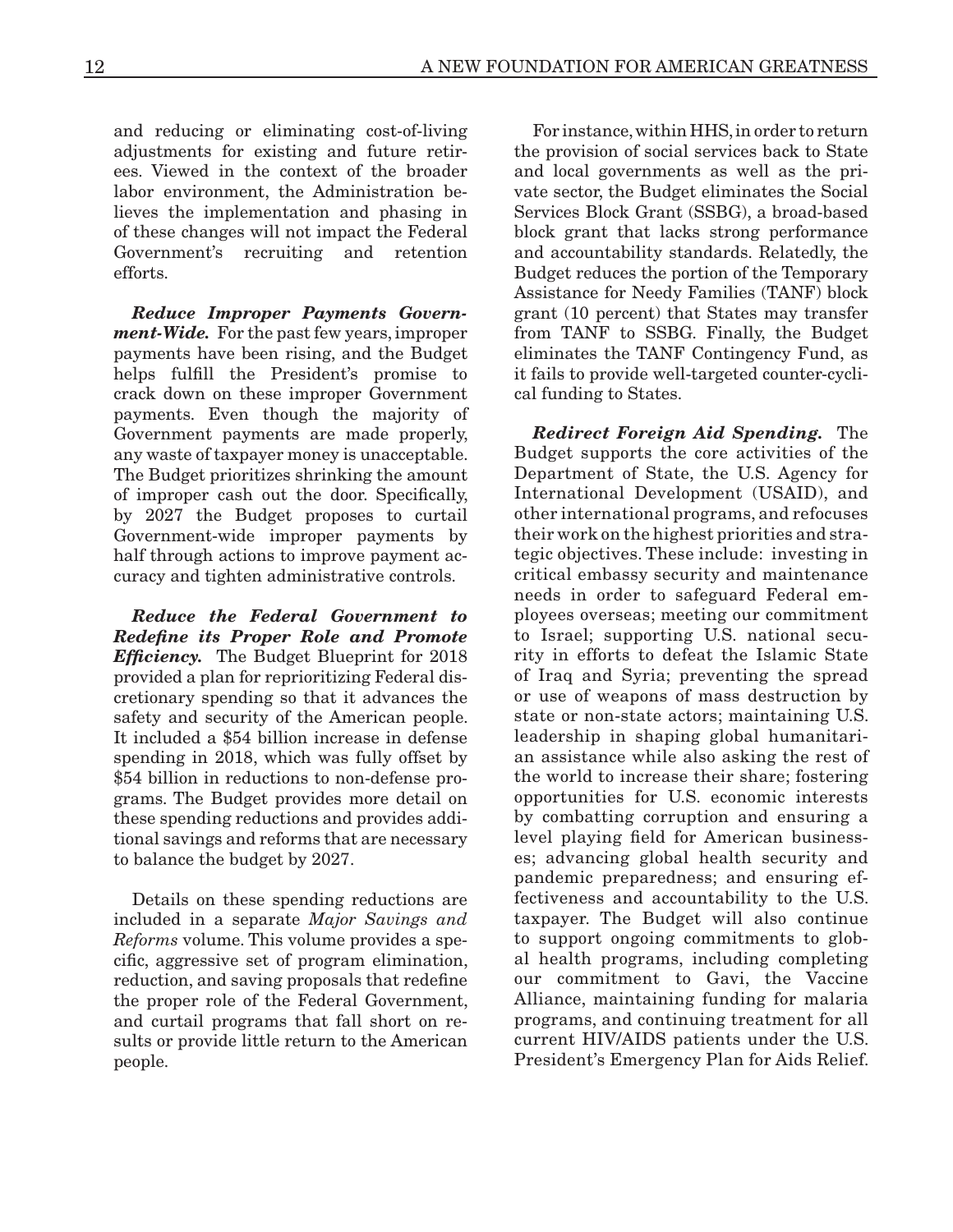and reducing or eliminating cost-of-living adjustments for existing and future retirees. Viewed in the context of the broader labor environment, the Administration believes the implementation and phasing in of these changes will not impact the Federal Government's recruiting and retention efforts.

*Reduce Improper Payments Government-Wide.* For the past few years, improper payments have been rising, and the Budget helps fulfill the President's promise to crack down on these improper Government payments. Even though the majority of Government payments are made properly, any waste of taxpayer money is unacceptable. The Budget prioritizes shrinking the amount of improper cash out the door. Specifically, by 2027 the Budget proposes to curtail Government-wide improper payments by half through actions to improve payment accuracy and tighten administrative controls.

*Reduce the Federal Government to Redefine its Proper Role and Promote Efficiency.* The Budget Blueprint for 2018 provided a plan for reprioritizing Federal discretionary spending so that it advances the safety and security of the American people. It included a \$54 billion increase in defense spending in 2018, which was fully offset by \$54 billion in reductions to non-defense programs. The Budget provides more detail on these spending reductions and provides additional savings and reforms that are necessary to balance the budget by 2027.

Details on these spending reductions are included in a separate *Major Savings and Reforms* volume. This volume provides a specific, aggressive set of program elimination, reduction, and saving proposals that redefine the proper role of the Federal Government, and curtail programs that fall short on results or provide little return to the American people.

For instance, within HHS, in order to return the provision of social services back to State and local governments as well as the private sector, the Budget eliminates the Social Services Block Grant (SSBG), a broad-based block grant that lacks strong performance and accountability standards. Relatedly, the Budget reduces the portion of the Temporary Assistance for Needy Families (TANF) block grant (10 percent) that States may transfer from TANF to SSBG. Finally, the Budget eliminates the TANF Contingency Fund, as it fails to provide well-targeted counter-cyclical funding to States.

*Redirect Foreign Aid Spending.* The Budget supports the core activities of the Department of State, the U.S. Agency for International Development (USAID), and other international programs, and refocuses their work on the highest priorities and strategic objectives. These include: investing in critical embassy security and maintenance needs in order to safeguard Federal employees overseas; meeting our commitment to Israel; supporting U.S. national security in efforts to defeat the Islamic State of Iraq and Syria; preventing the spread or use of weapons of mass destruction by state or non-state actors; maintaining U.S. leadership in shaping global humanitarian assistance while also asking the rest of the world to increase their share; fostering opportunities for U.S. economic interests by combatting corruption and ensuring a level playing field for American businesses; advancing global health security and pandemic preparedness; and ensuring effectiveness and accountability to the U.S. taxpayer. The Budget will also continue to support ongoing commitments to global health programs, including completing our commitment to Gavi, the Vaccine Alliance, maintaining funding for malaria programs, and continuing treatment for all current HIV/AIDS patients under the U.S. President's Emergency Plan for Aids Relief.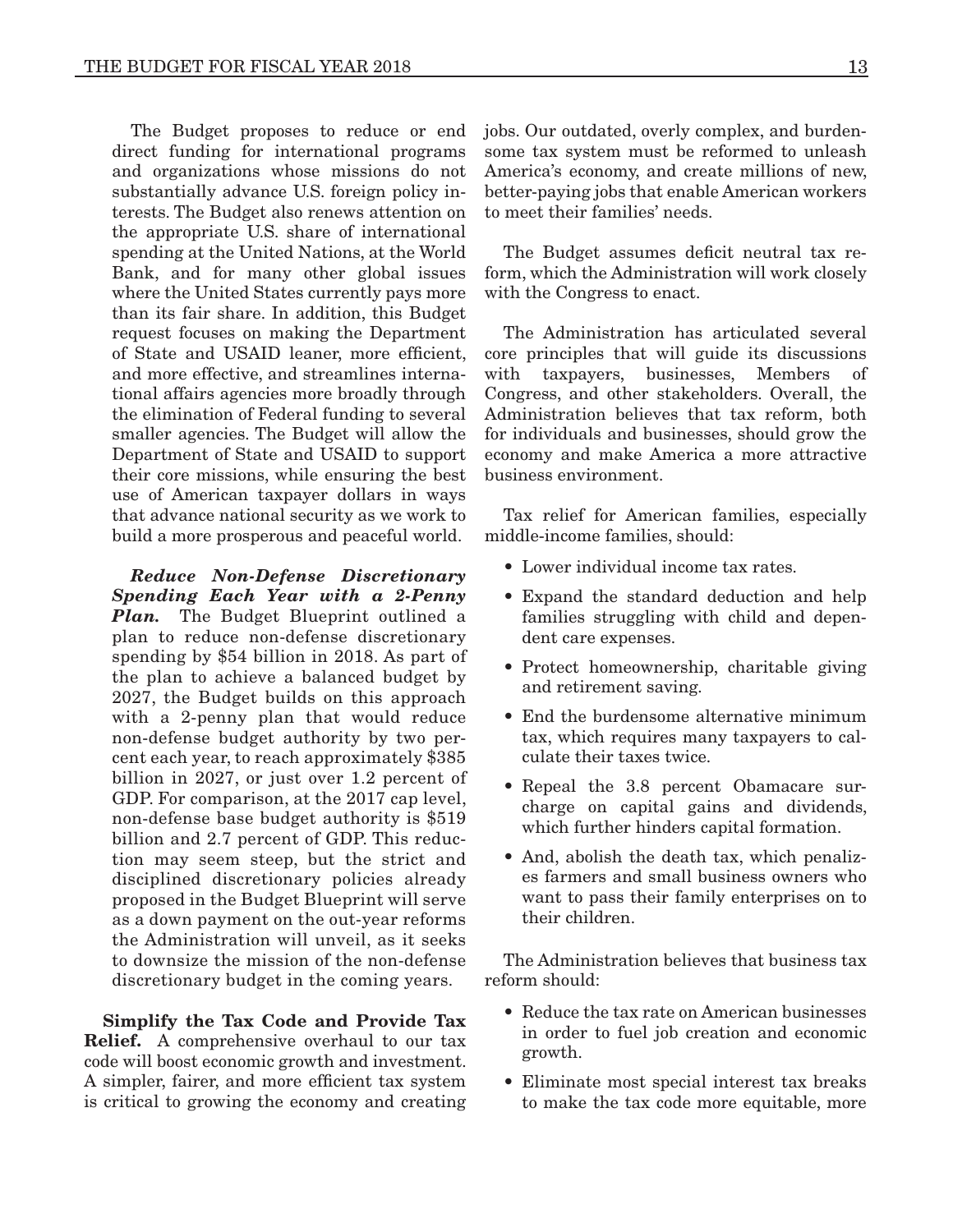The Budget proposes to reduce or end direct funding for international programs and organizations whose missions do not substantially advance U.S. foreign policy interests. The Budget also renews attention on the appropriate U.S. share of international spending at the United Nations, at the World Bank, and for many other global issues where the United States currently pays more than its fair share. In addition, this Budget request focuses on making the Department of State and USAID leaner, more efficient, and more effective, and streamlines international affairs agencies more broadly through the elimination of Federal funding to several smaller agencies. The Budget will allow the Department of State and USAID to support their core missions, while ensuring the best use of American taxpayer dollars in ways that advance national security as we work to build a more prosperous and peaceful world.

*Reduce Non-Defense Discretionary Spending Each Year with a 2-Penny Plan.* The Budget Blueprint outlined a plan to reduce non-defense discretionary spending by \$54 billion in 2018. As part of the plan to achieve a balanced budget by 2027, the Budget builds on this approach with a 2-penny plan that would reduce non-defense budget authority by two percent each year, to reach approximately \$385 billion in 2027, or just over 1.2 percent of GDP. For comparison, at the 2017 cap level, non-defense base budget authority is \$519 billion and 2.7 percent of GDP. This reduction may seem steep, but the strict and disciplined discretionary policies already proposed in the Budget Blueprint will serve as a down payment on the out-year reforms the Administration will unveil, as it seeks to downsize the mission of the non-defense discretionary budget in the coming years.

Simplify the Tax Code and Provide Tax Relief. A comprehensive overhaul to our tax code will boost economic growth and investment. A simpler, fairer, and more efficient tax system is critical to growing the economy and creating jobs. Our outdated, overly complex, and burdensome tax system must be reformed to unleash America's economy, and create millions of new, better-paying jobs that enable American workers to meet their families' needs.

The Budget assumes deficit neutral tax reform, which the Administration will work closely with the Congress to enact.

The Administration has articulated several core principles that will guide its discussions with taxpayers, businesses, Members of Congress, and other stakeholders. Overall, the Administration believes that tax reform, both for individuals and businesses, should grow the economy and make America a more attractive business environment.

Tax relief for American families, especially middle-income families, should:

- Lower individual income tax rates.
- Expand the standard deduction and help families struggling with child and dependent care expenses.
- Protect homeownership, charitable giving and retirement saving.
- End the burdensome alternative minimum tax, which requires many taxpayers to calculate their taxes twice.
- Repeal the 3.8 percent Obamacare surcharge on capital gains and dividends, which further hinders capital formation.
- And, abolish the death tax, which penalizes farmers and small business owners who want to pass their family enterprises on to their children.

The Administration believes that business tax reform should:

- Reduce the tax rate on American businesses in order to fuel job creation and economic growth.
- Eliminate most special interest tax breaks to make the tax code more equitable, more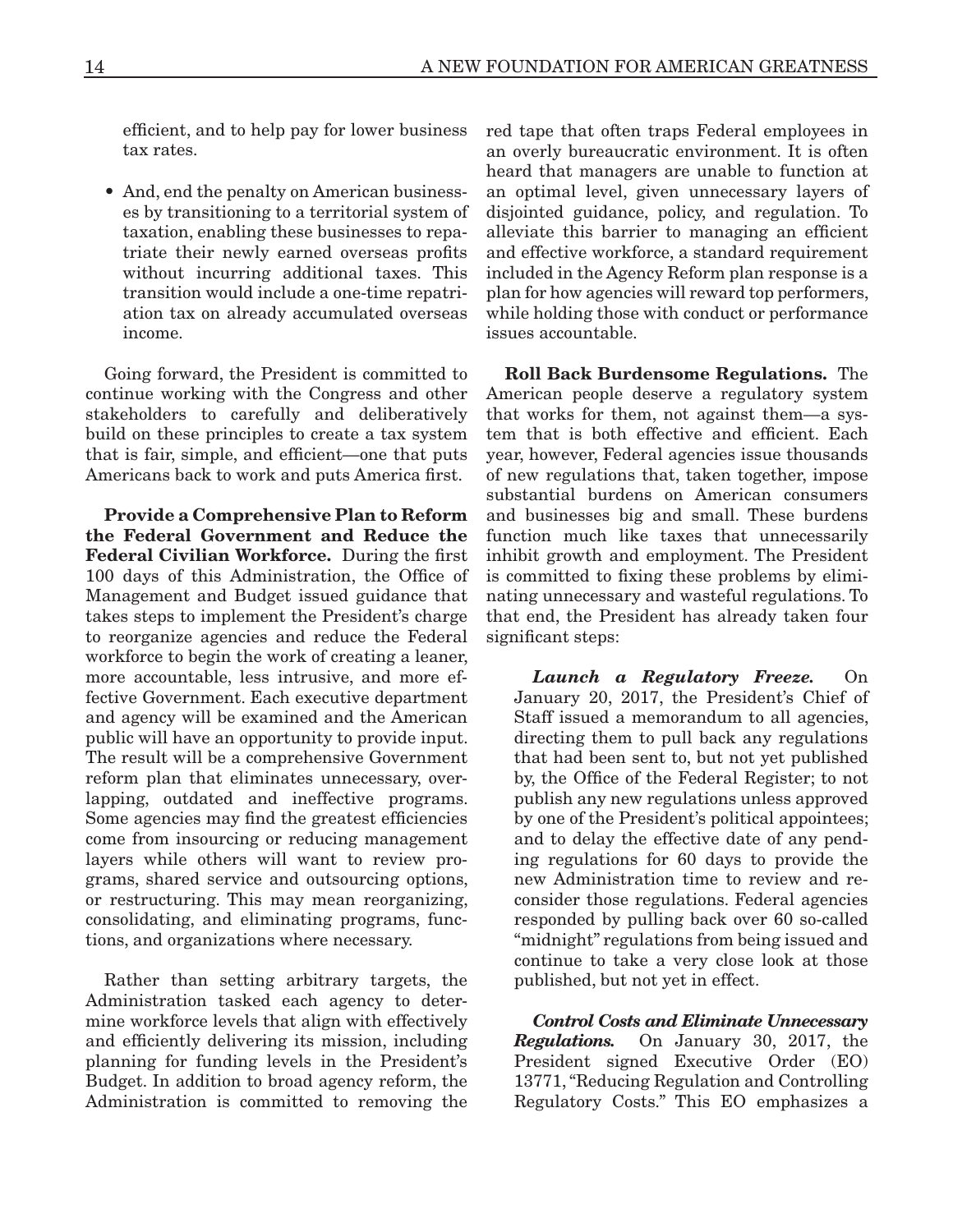efficient, and to help pay for lower business tax rates.

• And, end the penalty on American businesses by transitioning to a territorial system of taxation, enabling these businesses to repatriate their newly earned overseas profits without incurring additional taxes. This transition would include a one-time repatriation tax on already accumulated overseas income.

Going forward, the President is committed to continue working with the Congress and other stakeholders to carefully and deliberatively build on these principles to create a tax system that is fair, simple, and efficient—one that puts Americans back to work and puts America first.

Provide a Comprehensive Plan to Reform the Federal Government and Reduce the Federal Civilian Workforce. During the first 100 days of this Administration, the Office of Management and Budget issued guidance that takes steps to implement the President's charge to reorganize agencies and reduce the Federal workforce to begin the work of creating a leaner, more accountable, less intrusive, and more effective Government. Each executive department and agency will be examined and the American public will have an opportunity to provide input. The result will be a comprehensive Government reform plan that eliminates unnecessary, overlapping, outdated and ineffective programs. Some agencies may find the greatest efficiencies come from insourcing or reducing management layers while others will want to review programs, shared service and outsourcing options, or restructuring. This may mean reorganizing, consolidating, and eliminating programs, functions, and organizations where necessary.

Rather than setting arbitrary targets, the Administration tasked each agency to determine workforce levels that align with effectively and efficiently delivering its mission, including planning for funding levels in the President's Budget. In addition to broad agency reform, the Administration is committed to removing the

red tape that often traps Federal employees in an overly bureaucratic environment. It is often heard that managers are unable to function at an optimal level, given unnecessary layers of disjointed guidance, policy, and regulation. To alleviate this barrier to managing an efficient and effective workforce, a standard requirement included in the Agency Reform plan response is a plan for how agencies will reward top performers, while holding those with conduct or performance issues accountable.

Roll Back Burdensome Regulations. The American people deserve a regulatory system that works for them, not against them—a system that is both effective and efficient. Each year, however, Federal agencies issue thousands of new regulations that, taken together, impose substantial burdens on American consumers and businesses big and small. These burdens function much like taxes that unnecessarily inhibit growth and employment. The President is committed to fixing these problems by eliminating unnecessary and wasteful regulations. To that end, the President has already taken four significant steps:

*Launch a Regulatory Freeze.* On January 20, 2017, the President's Chief of Staff issued a memorandum to all agencies, directing them to pull back any regulations that had been sent to, but not yet published by, the Office of the Federal Register; to not publish any new regulations unless approved by one of the President's political appointees; and to delay the effective date of any pending regulations for 60 days to provide the new Administration time to review and reconsider those regulations. Federal agencies responded by pulling back over 60 so-called "midnight" regulations from being issued and continue to take a very close look at those published, but not yet in effect.

*Control Costs and Eliminate Unnecessary Regulations.* On January 30, 2017, the President signed Executive Order (EO) 13771, "Reducing Regulation and Controlling Regulatory Costs." This EO emphasizes a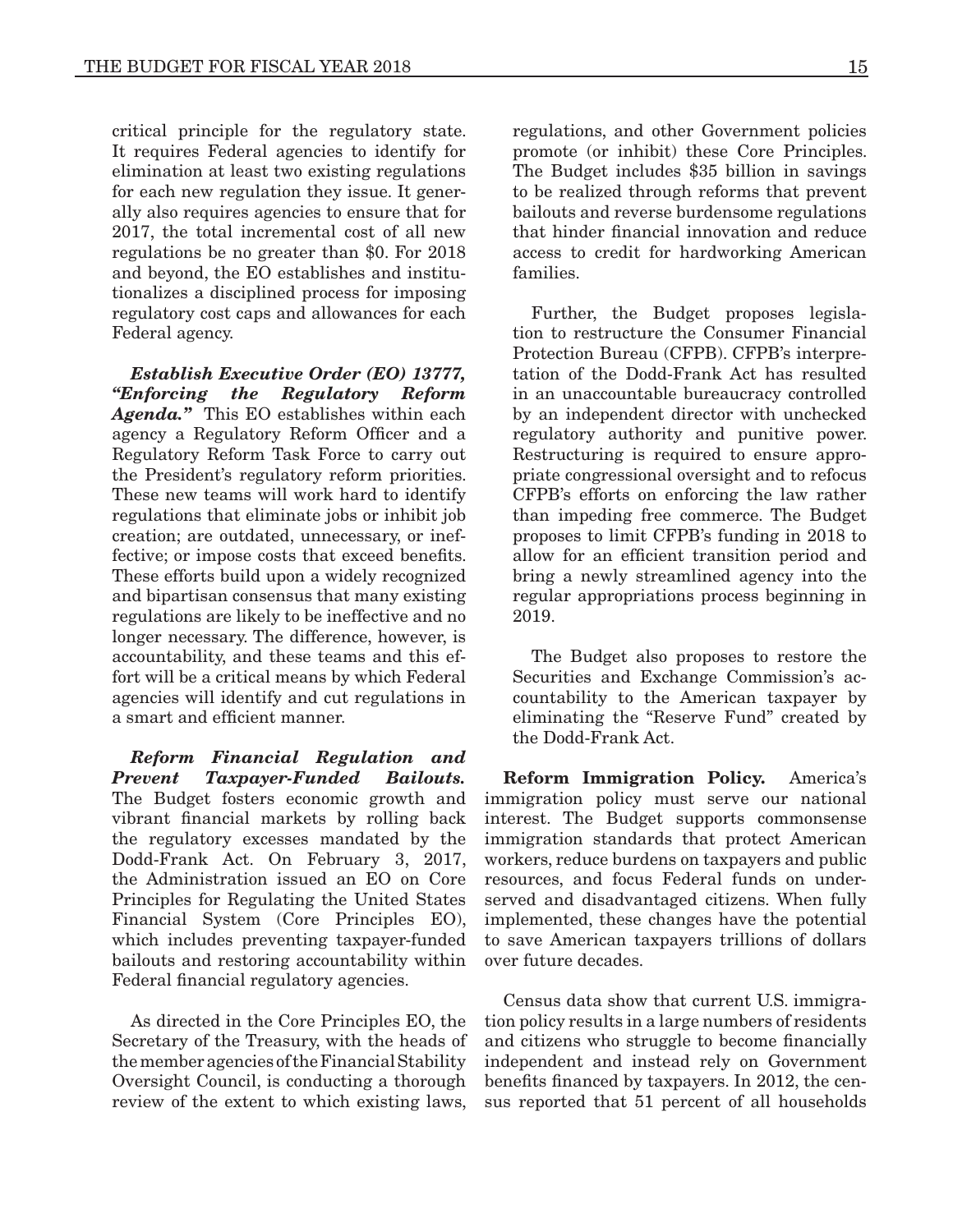critical principle for the regulatory state. It requires Federal agencies to identify for elimination at least two existing regulations for each new regulation they issue. It generally also requires agencies to ensure that for 2017, the total incremental cost of all new regulations be no greater than \$0. For 2018 and beyond, the EO establishes and institutionalizes a disciplined process for imposing regulatory cost caps and allowances for each Federal agency.

*Establish Executive Order (EO) 13777, "Enforcing the Regulatory Reform Agenda."* This EO establishes within each agency a Regulatory Reform Officer and a Regulatory Reform Task Force to carry out the President's regulatory reform priorities. These new teams will work hard to identify regulations that eliminate jobs or inhibit job creation; are outdated, unnecessary, or ineffective; or impose costs that exceed benefits. These efforts build upon a widely recognized and bipartisan consensus that many existing regulations are likely to be ineffective and no longer necessary. The difference, however, is accountability, and these teams and this effort will be a critical means by which Federal agencies will identify and cut regulations in a smart and efficient manner.

*Reform Financial Regulation and Prevent Taxpayer-Funded Bailouts.* The Budget fosters economic growth and vibrant financial markets by rolling back the regulatory excesses mandated by the Dodd-Frank Act. On February 3, 2017, the Administration issued an EO on Core Principles for Regulating the United States Financial System (Core Principles EO), which includes preventing taxpayer-funded bailouts and restoring accountability within Federal financial regulatory agencies.

As directed in the Core Principles EO, the Secretary of the Treasury, with the heads of the member agencies of the Financial Stability Oversight Council, is conducting a thorough review of the extent to which existing laws,

regulations, and other Government policies promote (or inhibit) these Core Principles. The Budget includes \$35 billion in savings to be realized through reforms that prevent bailouts and reverse burdensome regulations that hinder financial innovation and reduce access to credit for hardworking American families.

Further, the Budget proposes legislation to restructure the Consumer Financial Protection Bureau (CFPB). CFPB's interpretation of the Dodd-Frank Act has resulted in an unaccountable bureaucracy controlled by an independent director with unchecked regulatory authority and punitive power. Restructuring is required to ensure appropriate congressional oversight and to refocus CFPB's efforts on enforcing the law rather than impeding free commerce. The Budget proposes to limit CFPB's funding in 2018 to allow for an efficient transition period and bring a newly streamlined agency into the regular appropriations process beginning in 2019.

The Budget also proposes to restore the Securities and Exchange Commission's accountability to the American taxpayer by eliminating the "Reserve Fund" created by the Dodd-Frank Act.

Reform Immigration Policy. America's immigration policy must serve our national interest. The Budget supports commonsense immigration standards that protect American workers, reduce burdens on taxpayers and public resources, and focus Federal funds on underserved and disadvantaged citizens. When fully implemented, these changes have the potential to save American taxpayers trillions of dollars over future decades.

Census data show that current U.S. immigration policy results in a large numbers of residents and citizens who struggle to become financially independent and instead rely on Government benefits financed by taxpayers. In 2012, the census reported that 51 percent of all households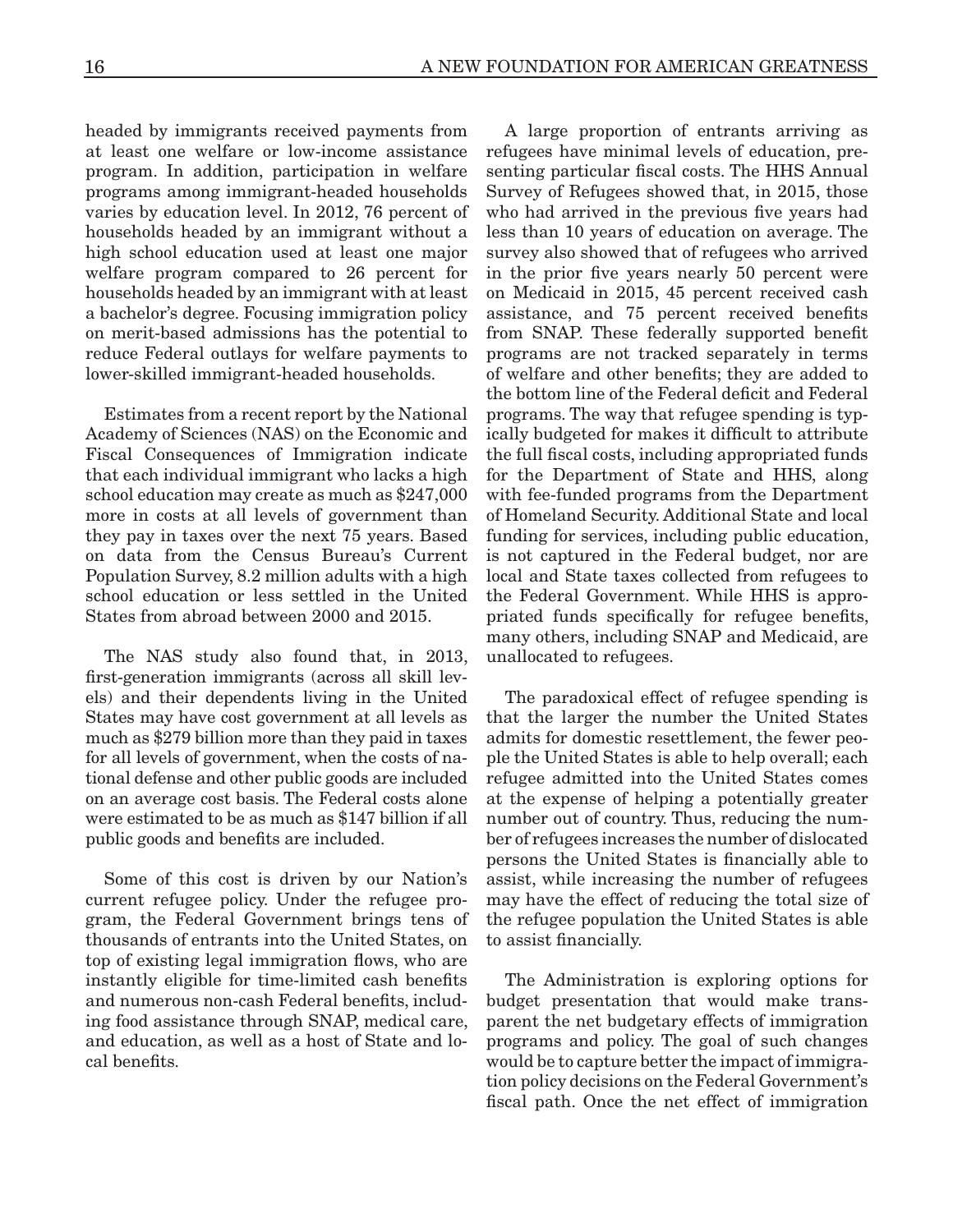headed by immigrants received payments from at least one welfare or low-income assistance program. In addition, participation in welfare programs among immigrant-headed households varies by education level. In 2012, 76 percent of households headed by an immigrant without a high school education used at least one major welfare program compared to 26 percent for households headed by an immigrant with at least a bachelor's degree. Focusing immigration policy on merit-based admissions has the potential to reduce Federal outlays for welfare payments to lower-skilled immigrant-headed households.

Estimates from a recent report by the National Academy of Sciences (NAS) on the Economic and Fiscal Consequences of Immigration indicate that each individual immigrant who lacks a high school education may create as much as \$247,000 more in costs at all levels of government than they pay in taxes over the next 75 years. Based on data from the Census Bureau's Current Population Survey, 8.2 million adults with a high school education or less settled in the United States from abroad between 2000 and 2015.

The NAS study also found that, in 2013, first-generation immigrants (across all skill levels) and their dependents living in the United States may have cost government at all levels as much as \$279 billion more than they paid in taxes for all levels of government, when the costs of national defense and other public goods are included on an average cost basis. The Federal costs alone were estimated to be as much as \$147 billion if all public goods and benefits are included.

Some of this cost is driven by our Nation's current refugee policy. Under the refugee program, the Federal Government brings tens of thousands of entrants into the United States, on top of existing legal immigration flows, who are instantly eligible for time-limited cash benefits and numerous non-cash Federal benefits, including food assistance through SNAP, medical care, and education, as well as a host of State and local benefits.

A large proportion of entrants arriving as refugees have minimal levels of education, presenting particular fiscal costs. The HHS Annual Survey of Refugees showed that, in 2015, those who had arrived in the previous five years had less than 10 years of education on average. The survey also showed that of refugees who arrived in the prior five years nearly 50 percent were on Medicaid in 2015, 45 percent received cash assistance, and 75 percent received benefits from SNAP. These federally supported benefit programs are not tracked separately in terms of welfare and other benefits; they are added to the bottom line of the Federal deficit and Federal programs. The way that refugee spending is typically budgeted for makes it difficult to attribute the full fiscal costs, including appropriated funds for the Department of State and HHS, along with fee-funded programs from the Department of Homeland Security. Additional State and local funding for services, including public education, is not captured in the Federal budget, nor are local and State taxes collected from refugees to the Federal Government. While HHS is appropriated funds specifically for refugee benefits, many others, including SNAP and Medicaid, are unallocated to refugees.

The paradoxical effect of refugee spending is that the larger the number the United States admits for domestic resettlement, the fewer people the United States is able to help overall; each refugee admitted into the United States comes at the expense of helping a potentially greater number out of country. Thus, reducing the number of refugees increases the number of dislocated persons the United States is financially able to assist, while increasing the number of refugees may have the effect of reducing the total size of the refugee population the United States is able to assist financially.

The Administration is exploring options for budget presentation that would make transparent the net budgetary effects of immigration programs and policy. The goal of such changes would be to capture better the impact of immigration policy decisions on the Federal Government's fiscal path. Once the net effect of immigration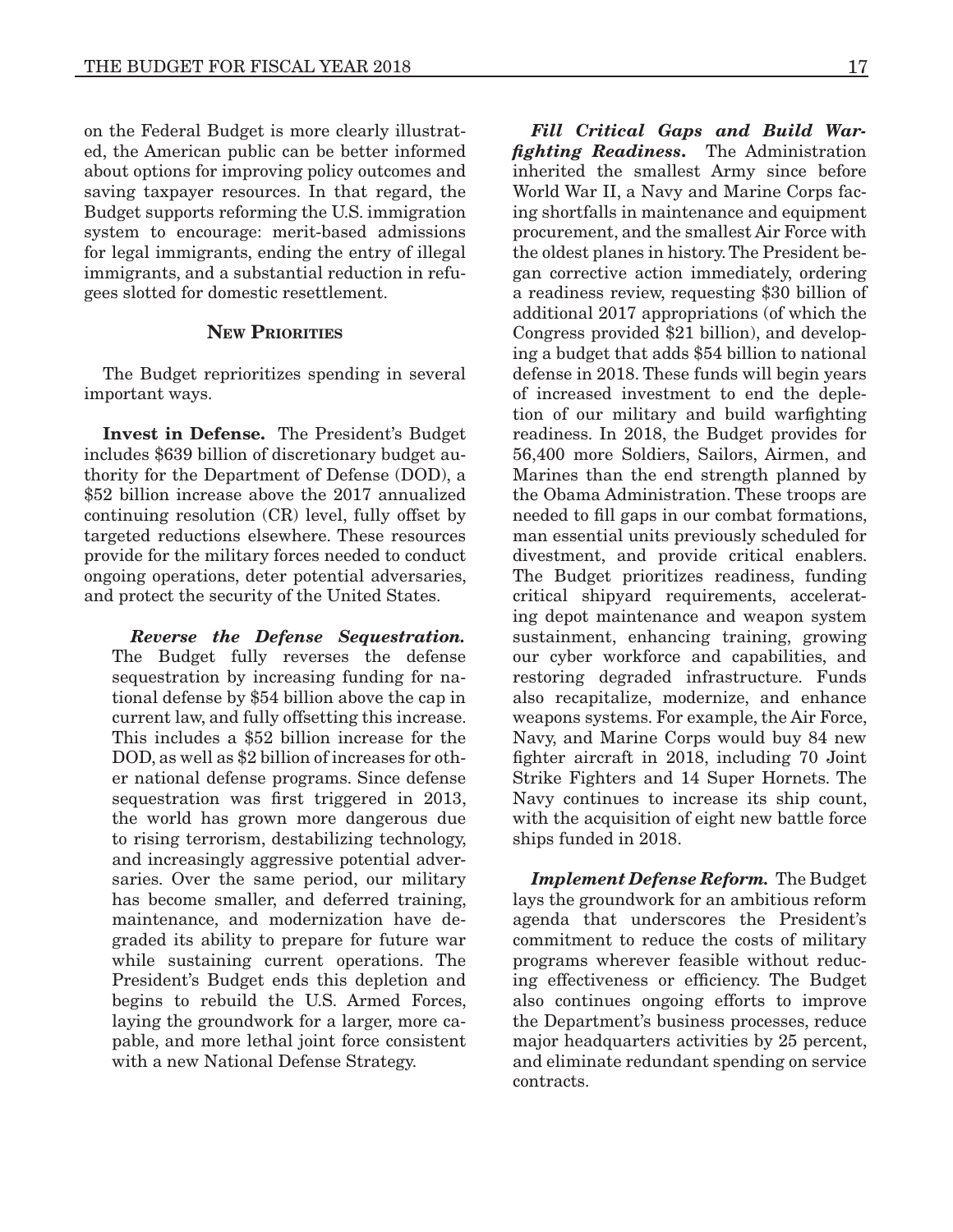on the Federal Budget is more clearly illustrated, the American public can be better informed about options for improving policy outcomes and saving taxpayer resources. In that regard, the Budget supports reforming the U.S. immigration system to encourage: merit-based admissions for legal immigrants, ending the entry of illegal immigrants, and a substantial reduction in refugees slotted for domestic resettlement.

#### New Priorities

The Budget reprioritizes spending in several important ways.

Invest in Defense. The President's Budget includes \$639 billion of discretionary budget authority for the Department of Defense (DOD), a \$52 billion increase above the 2017 annualized continuing resolution (CR) level, fully offset by targeted reductions elsewhere. These resources provide for the military forces needed to conduct ongoing operations, deter potential adversaries, and protect the security of the United States.

*Reverse the Defense Sequestration.* The Budget fully reverses the defense sequestration by increasing funding for national defense by \$54 billion above the cap in current law, and fully offsetting this increase. This includes a \$52 billion increase for the DOD, as well as \$2 billion of increases for other national defense programs. Since defense sequestration was first triggered in 2013, the world has grown more dangerous due to rising terrorism, destabilizing technology, and increasingly aggressive potential adversaries. Over the same period, our military has become smaller, and deferred training, maintenance, and modernization have degraded its ability to prepare for future war while sustaining current operations. The President's Budget ends this depletion and begins to rebuild the U.S. Armed Forces, laying the groundwork for a larger, more capable, and more lethal joint force consistent with a new National Defense Strategy.

*Fill Critical Gaps and Build Warfighting Readiness*. The Administration inherited the smallest Army since before World War II, a Navy and Marine Corps facing shortfalls in maintenance and equipment procurement, and the smallest Air Force with the oldest planes in history. The President began corrective action immediately, ordering a readiness review, requesting \$30 billion of additional 2017 appropriations (of which the Congress provided \$21 billion), and developing a budget that adds \$54 billion to national defense in 2018. These funds will begin years of increased investment to end the depletion of our military and build warfighting readiness. In 2018, the Budget provides for 56,400 more Soldiers, Sailors, Airmen, and Marines than the end strength planned by the Obama Administration. These troops are needed to fill gaps in our combat formations, man essential units previously scheduled for divestment, and provide critical enablers. The Budget prioritizes readiness, funding critical shipyard requirements, accelerating depot maintenance and weapon system sustainment, enhancing training, growing our cyber workforce and capabilities, and restoring degraded infrastructure. Funds also recapitalize, modernize, and enhance weapons systems. For example, the Air Force, Navy, and Marine Corps would buy 84 new fighter aircraft in 2018, including 70 Joint Strike Fighters and 14 Super Hornets. The Navy continues to increase its ship count, with the acquisition of eight new battle force ships funded in 2018.

*Implement Defense Reform.* The Budget lays the groundwork for an ambitious reform agenda that underscores the President's commitment to reduce the costs of military programs wherever feasible without reducing effectiveness or efficiency. The Budget also continues ongoing efforts to improve the Department's business processes, reduce major headquarters activities by 25 percent, and eliminate redundant spending on service contracts.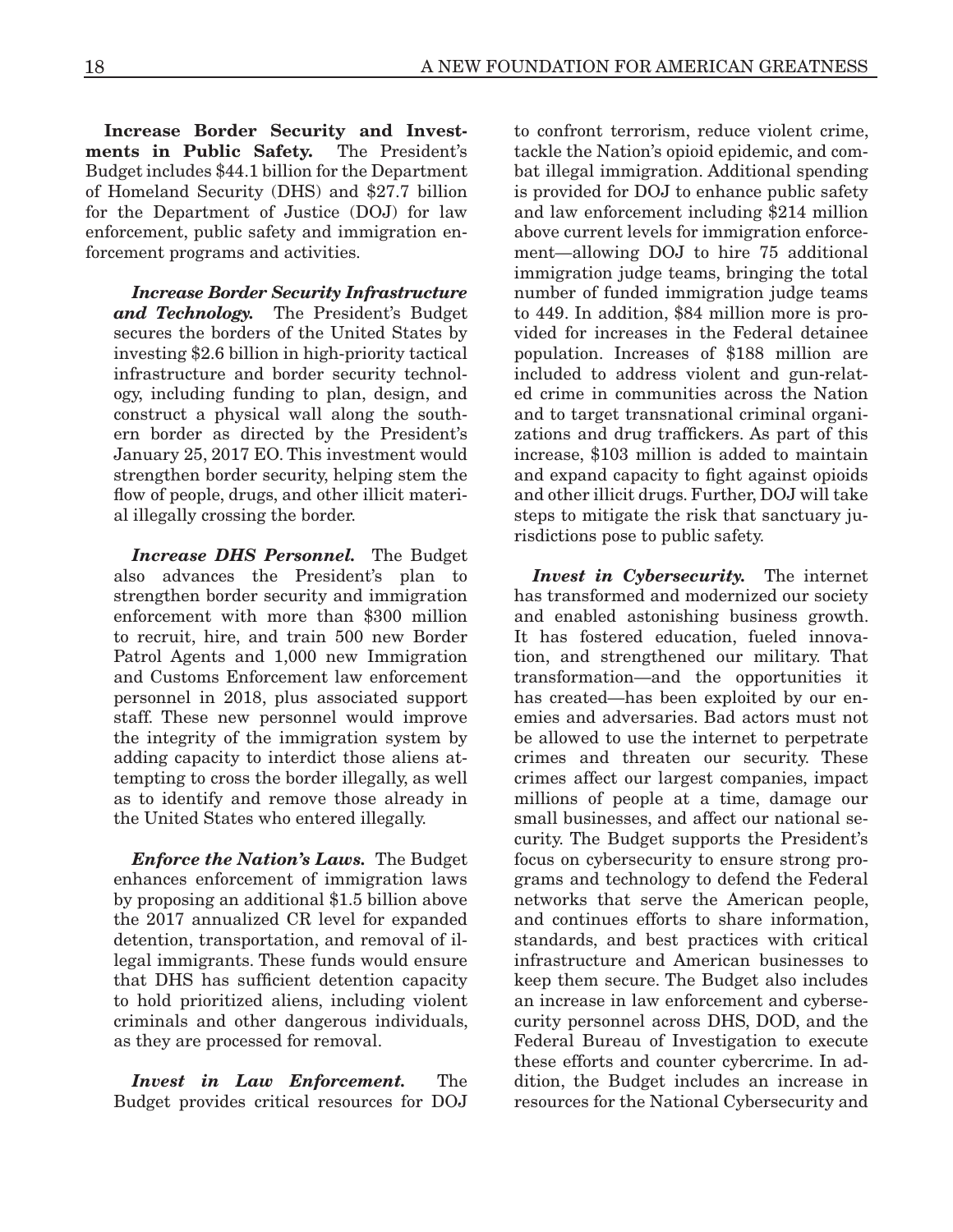Increase Border Security and Investments in Public Safety. The President's Budget includes \$44.1 billion for the Department of Homeland Security (DHS) and \$27.7 billion for the Department of Justice (DOJ) for law enforcement, public safety and immigration enforcement programs and activities.

*Increase Border Security Infrastructure and Technology.* The President's Budget secures the borders of the United States by investing \$2.6 billion in high-priority tactical infrastructure and border security technology, including funding to plan, design, and construct a physical wall along the southern border as directed by the President's January 25, 2017 EO. This investment would strengthen border security, helping stem the flow of people, drugs, and other illicit material illegally crossing the border.

*Increase DHS Personnel.* The Budget also advances the President's plan to strengthen border security and immigration enforcement with more than \$300 million to recruit, hire, and train 500 new Border Patrol Agents and 1,000 new Immigration and Customs Enforcement law enforcement personnel in 2018, plus associated support staff. These new personnel would improve the integrity of the immigration system by adding capacity to interdict those aliens attempting to cross the border illegally, as well as to identify and remove those already in the United States who entered illegally.

*Enforce the Nation's Laws.* The Budget enhances enforcement of immigration laws by proposing an additional \$1.5 billion above the 2017 annualized CR level for expanded detention, transportation, and removal of illegal immigrants. These funds would ensure that DHS has sufficient detention capacity to hold prioritized aliens, including violent criminals and other dangerous individuals, as they are processed for removal.

*Invest in Law Enforcement.* The Budget provides critical resources for DOJ

to confront terrorism, reduce violent crime, tackle the Nation's opioid epidemic, and combat illegal immigration. Additional spending is provided for DOJ to enhance public safety and law enforcement including \$214 million above current levels for immigration enforcement—allowing DOJ to hire 75 additional immigration judge teams, bringing the total number of funded immigration judge teams to 449. In addition, \$84 million more is provided for increases in the Federal detainee population. Increases of \$188 million are included to address violent and gun-related crime in communities across the Nation and to target transnational criminal organizations and drug traffickers. As part of this increase, \$103 million is added to maintain and expand capacity to fight against opioids and other illicit drugs. Further, DOJ will take steps to mitigate the risk that sanctuary jurisdictions pose to public safety.

*Invest in Cybersecurity.* The internet has transformed and modernized our society and enabled astonishing business growth. It has fostered education, fueled innovation, and strengthened our military. That transformation—and the opportunities it has created—has been exploited by our enemies and adversaries. Bad actors must not be allowed to use the internet to perpetrate crimes and threaten our security. These crimes affect our largest companies, impact millions of people at a time, damage our small businesses, and affect our national security. The Budget supports the President's focus on cybersecurity to ensure strong programs and technology to defend the Federal networks that serve the American people, and continues efforts to share information, standards, and best practices with critical infrastructure and American businesses to keep them secure. The Budget also includes an increase in law enforcement and cybersecurity personnel across DHS, DOD, and the Federal Bureau of Investigation to execute these efforts and counter cybercrime. In addition, the Budget includes an increase in resources for the National Cybersecurity and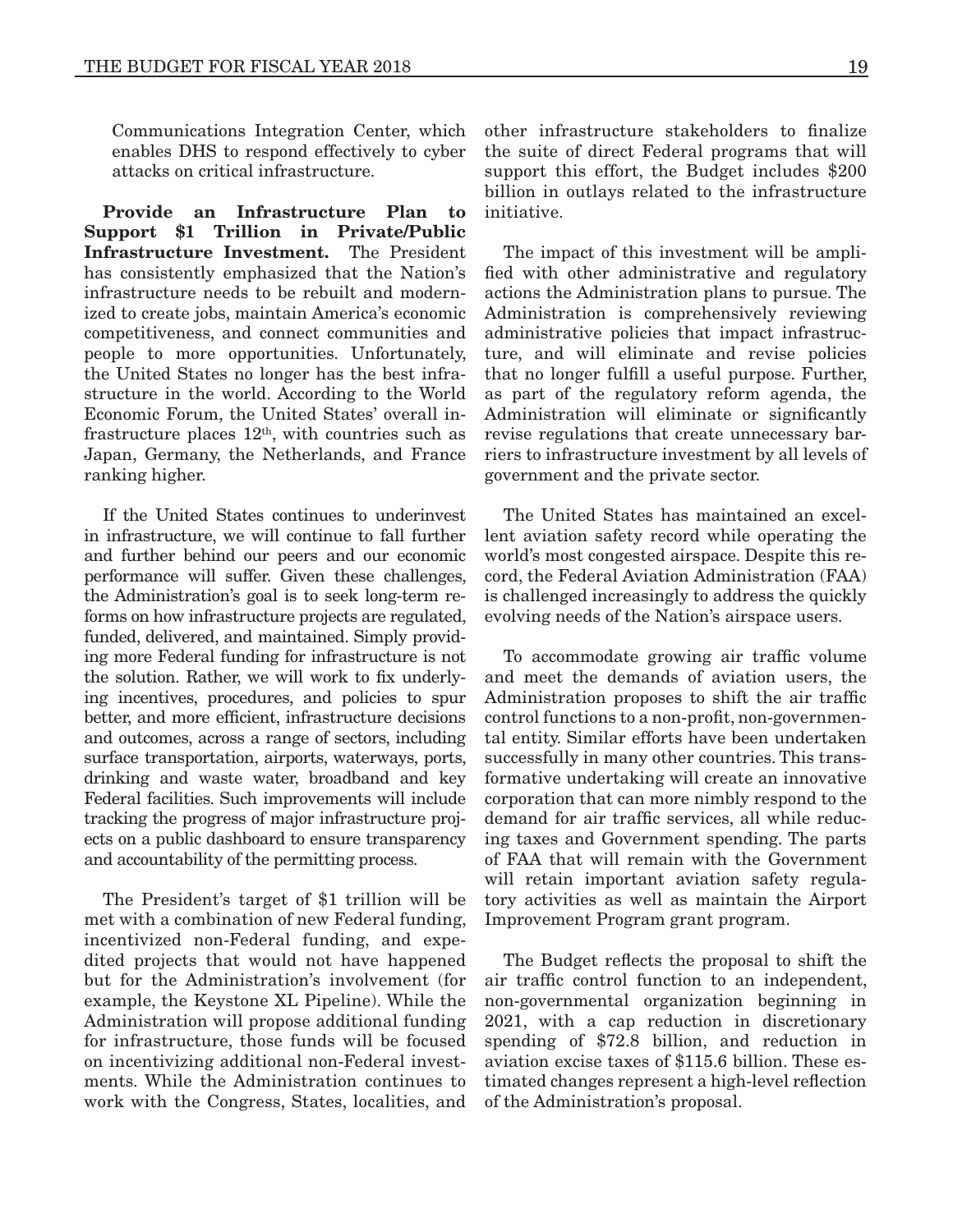Communications Integration Center, which enables DHS to respond effectively to cyber attacks on critical infrastructure.

Provide an Infrastructure Plan to Support \$1 Trillion in Private/Public Infrastructure Investment. The President has consistently emphasized that the Nation's infrastructure needs to be rebuilt and modernized to create jobs, maintain America's economic competitiveness, and connect communities and people to more opportunities. Unfortunately, the United States no longer has the best infrastructure in the world. According to the World Economic Forum, the United States' overall infrastructure places  $12<sup>th</sup>$ , with countries such as Japan, Germany, the Netherlands, and France ranking higher.

If the United States continues to underinvest in infrastructure, we will continue to fall further and further behind our peers and our economic performance will suffer. Given these challenges, the Administration's goal is to seek long-term reforms on how infrastructure projects are regulated, funded, delivered, and maintained. Simply providing more Federal funding for infrastructure is not the solution. Rather, we will work to fix underlying incentives, procedures, and policies to spur better, and more efficient, infrastructure decisions and outcomes, across a range of sectors, including surface transportation, airports, waterways, ports, drinking and waste water, broadband and key Federal facilities. Such improvements will include tracking the progress of major infrastructure projects on a public dashboard to ensure transparency and accountability of the permitting process.

The President's target of \$1 trillion will be met with a combination of new Federal funding, incentivized non-Federal funding, and expedited projects that would not have happened but for the Administration's involvement (for example, the Keystone XL Pipeline). While the Administration will propose additional funding for infrastructure, those funds will be focused on incentivizing additional non-Federal investments. While the Administration continues to work with the Congress, States, localities, and

other infrastructure stakeholders to finalize the suite of direct Federal programs that will support this effort, the Budget includes \$200 billion in outlays related to the infrastructure initiative.

The impact of this investment will be amplified with other administrative and regulatory actions the Administration plans to pursue. The Administration is comprehensively reviewing administrative policies that impact infrastructure, and will eliminate and revise policies that no longer fulfill a useful purpose. Further, as part of the regulatory reform agenda, the Administration will eliminate or significantly revise regulations that create unnecessary barriers to infrastructure investment by all levels of government and the private sector.

The United States has maintained an excellent aviation safety record while operating the world's most congested airspace. Despite this record, the Federal Aviation Administration (FAA) is challenged increasingly to address the quickly evolving needs of the Nation's airspace users.

To accommodate growing air traffic volume and meet the demands of aviation users, the Administration proposes to shift the air traffic control functions to a non-profit, non-governmental entity. Similar efforts have been undertaken successfully in many other countries. This transformative undertaking will create an innovative corporation that can more nimbly respond to the demand for air traffic services, all while reducing taxes and Government spending. The parts of FAA that will remain with the Government will retain important aviation safety regulatory activities as well as maintain the Airport Improvement Program grant program.

The Budget reflects the proposal to shift the air traffic control function to an independent, non-governmental organization beginning in 2021, with a cap reduction in discretionary spending of \$72.8 billion, and reduction in aviation excise taxes of \$115.6 billion. These estimated changes represent a high-level reflection of the Administration's proposal.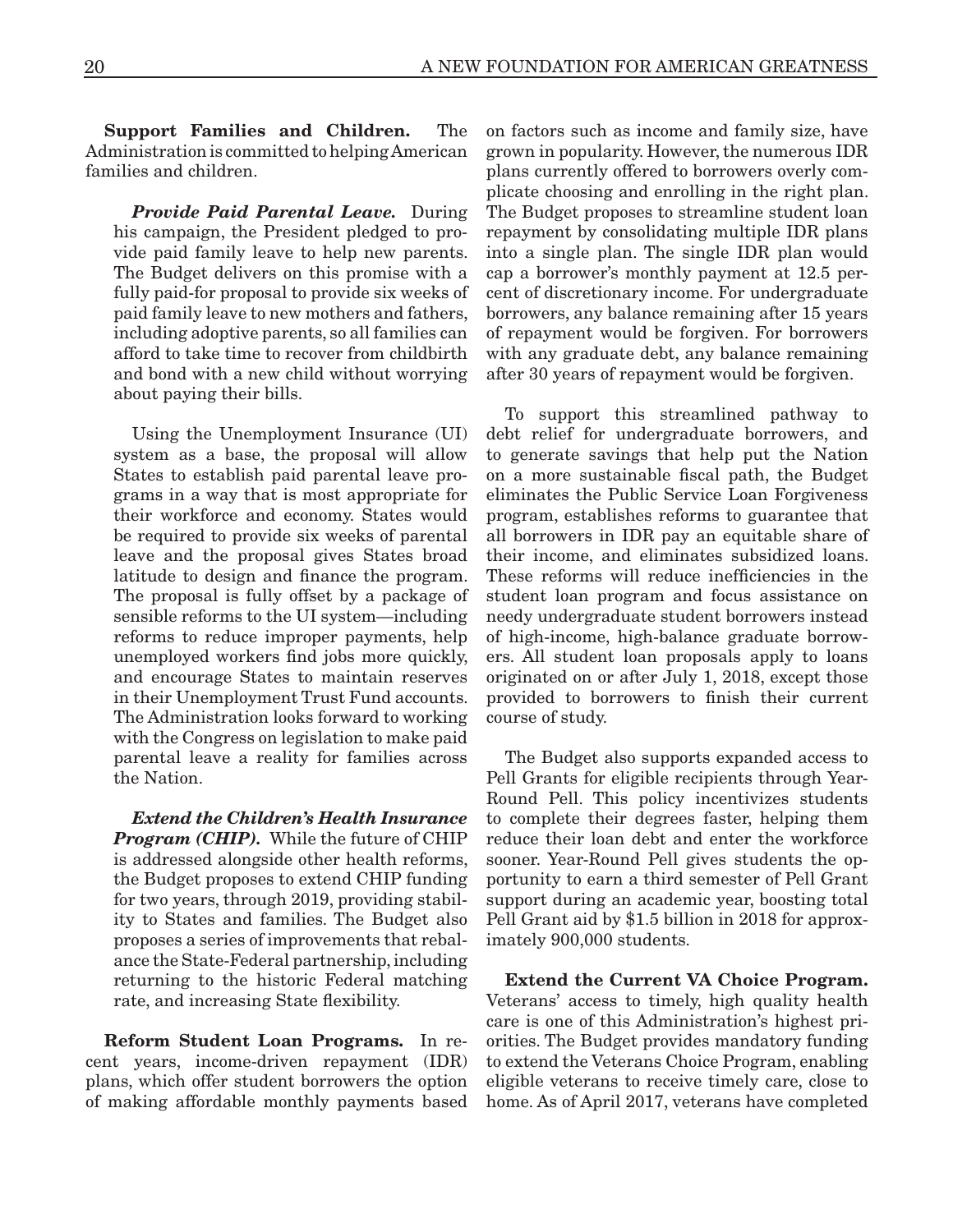Support Families and Children. The Administration is committed to helping American families and children.

*Provide Paid Parental Leave.* During his campaign, the President pledged to provide paid family leave to help new parents. The Budget delivers on this promise with a fully paid-for proposal to provide six weeks of paid family leave to new mothers and fathers, including adoptive parents, so all families can afford to take time to recover from childbirth and bond with a new child without worrying about paying their bills.

Using the Unemployment Insurance (UI) system as a base, the proposal will allow States to establish paid parental leave programs in a way that is most appropriate for their workforce and economy. States would be required to provide six weeks of parental leave and the proposal gives States broad latitude to design and finance the program. The proposal is fully offset by a package of sensible reforms to the UI system—including reforms to reduce improper payments, help unemployed workers find jobs more quickly, and encourage States to maintain reserves in their Unemployment Trust Fund accounts. The Administration looks forward to working with the Congress on legislation to make paid parental leave a reality for families across the Nation.

*Extend the Children's Health Insurance Program (CHIP).* While the future of CHIP is addressed alongside other health reforms, the Budget proposes to extend CHIP funding for two years, through 2019, providing stability to States and families. The Budget also proposes a series of improvements that rebalance the State-Federal partnership, including returning to the historic Federal matching rate, and increasing State flexibility.

Reform Student Loan Programs. In recent years, income-driven repayment (IDR) plans, which offer student borrowers the option of making affordable monthly payments based on factors such as income and family size, have grown in popularity. However, the numerous IDR plans currently offered to borrowers overly complicate choosing and enrolling in the right plan. The Budget proposes to streamline student loan repayment by consolidating multiple IDR plans into a single plan. The single IDR plan would cap a borrower's monthly payment at 12.5 percent of discretionary income. For undergraduate borrowers, any balance remaining after 15 years of repayment would be forgiven. For borrowers with any graduate debt, any balance remaining after 30 years of repayment would be forgiven.

To support this streamlined pathway to debt relief for undergraduate borrowers, and to generate savings that help put the Nation on a more sustainable fiscal path, the Budget eliminates the Public Service Loan Forgiveness program, establishes reforms to guarantee that all borrowers in IDR pay an equitable share of their income, and eliminates subsidized loans. These reforms will reduce inefficiencies in the student loan program and focus assistance on needy undergraduate student borrowers instead of high-income, high-balance graduate borrowers. All student loan proposals apply to loans originated on or after July 1, 2018, except those provided to borrowers to finish their current course of study.

The Budget also supports expanded access to Pell Grants for eligible recipients through Year-Round Pell. This policy incentivizes students to complete their degrees faster, helping them reduce their loan debt and enter the workforce sooner. Year-Round Pell gives students the opportunity to earn a third semester of Pell Grant support during an academic year, boosting total Pell Grant aid by \$1.5 billion in 2018 for approximately 900,000 students.

Extend the Current VA Choice Program. Veterans' access to timely, high quality health care is one of this Administration's highest priorities. The Budget provides mandatory funding to extend the Veterans Choice Program, enabling eligible veterans to receive timely care, close to home. As of April 2017, veterans have completed